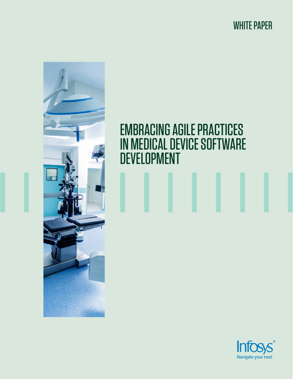WHITE PAPER



# EMBRACING AGILE PRACTICES IN MEDICAL DEVICE SOFTWARE DEVELOPMENT

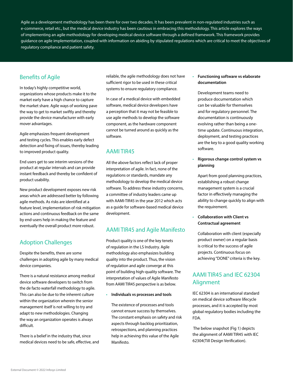Agile as a development methodology has been there for over two decades. It has been prevalent in non-regulated industries such as e-commerce, retail etc., but the medical device industry has been cautious in embracing this methodology. This article explores the ways of implementing an agile methodology for developing medical device software through a defined framework. This framework provides guidance on agile implementation, coupled with information on abiding by stipulated regulations which are critical to meet the objectives of regulatory compliance and patient safety.

## Benefits of Agile

In today's highly competitive world, organizations whose products make it to the market early have a high chance to capture the market share. Agile ways of working pave the way to get to market swiftly and thereby provide the device manufacturer with early mover advantages.

Agile emphasizes frequent development and testing cycles. This enables early defect detection and fixing of issues, thereby leading to improved product quality.

End users get to see interim versions of the product at regular intervals and can provide instant feedback and thereby be confident of product usability.

New product development exposes new risk areas which are addressed better by following agile methods. As risks are identified at a feature level, implementation of risk mitigation actions and continuous feedback on the same by end-users help in making the feature and eventually the overall product more robust.

# Adoption Challenges

Despite the benefits, there are some challenges in adopting agile by many medical device companies.

There is a natural resistance among medical device software developers to switch from the de facto waterfall methodology to agile. This can also be due to the inherent culture within the organization wherein the senior management itself is not willing to try and adapt to new methodologies. Changing the way an organization operates is always difficult.

There is a belief in the industry that, since medical devices need to be safe, effective, and

reliable, the agile methodology does not have sufficient rigor to be used in these critical systems to ensure regulatory compliance.

In case of a medical device with embedded software, medical device developers have a perception that it may not be feasible to use agile methods to develop the software component, as the hardware component cannot be turned around as quickly as the software.

## AAMI TIR45

All the above factors reflect lack of proper interpretation of agile. In fact, none of the regulations or standards, mandate any methodology to develop the medical device software. To address these industry concerns, a committee of industry leaders came up with AAMI-TIR45 in the year 2012 which acts as a guide for software-based medical device development.

#### AAMI TIR45 and Agile Manifesto

Product quality is one of the key tenets of regulation in the LS Industry. Agile methodology also emphasizes building quality into the product. Thus, the vision of regulation and agile converge at this point of building high-quality software. The interpretation of values of Agile Manifesto from AAMI TIR45 perspective is as below.

• **Individuals vs processes and tools**

The existence of processes and tools cannot ensure success by themselves. The constant emphasis on safety and risk aspects through backlog prioritization, retrospections, and planning practices help in achieving this value of the Agile Manifesto.

• **Functioning software vs elaborate documentation**

Development teams need to produce documentation which can be valuable for themselves and for regulatory personnel. The documentation is continuously evolving rather than being a onetime update. Continuous integration, deployment, and testing practices are the key to a good quality working software.

• **Rigorous change control system vs planning**

Apart from good planning practices, establishing a robust change management system is a crucial factor in effectively managing the ability to change quickly to align with the requirement.

• **Collaboration with Client vs Contractual agreement**

Collaboration with client (especially product owner) on a regular basis is critical to the success of agile projects. Continuous focus on achieving "DONE" criteria is the key.

## AAMI TIR45 and IEC 62304 Alignment

IEC 62304 is an international standard on medical device software lifecycle processes, and it is accepted by most global regulatory bodies including the FDA.

 The below snapshot (Fig 1) depicts the alignment of AAMI TIR45 with IEC 62304(Till Design Verification).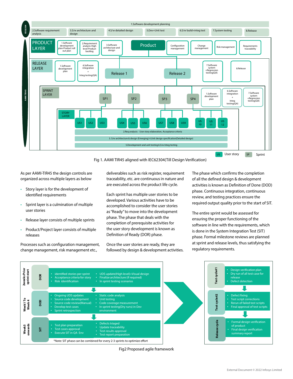

Fig 1. AAMI TIR45 aligned with IEC62304(Till Design Verification)

As per AAMI-TIR45 the design controls are organized across multiple layers as below

- Story layer is for the development of identified requirements
- Sprint layer is a culmination of multiple user stories
- Release layer consists of multiple sprints
- Product/Project layer consists of multiple releases

Processes such as configuration management, change management, risk management etc.,

deliverables such as risk register, requirement traceability, etc. are continuous in nature and are executed across the product life cycle.

Each sprint has multiple user stories to be developed. Various activities have to be accomplished to consider the user stories as "Ready" to move into the development phase. The phase that deals with the completion of prerequisite activities for the user story development is known as Definition of Ready (DOR) phase.

Once the user stories are ready, they are followed by design & development activities. The phase which confirms the completion of all the defined design & development activities is known as Definition of Done (DOD) phase. Continuous integration, continuous review, and testing practices ensure the required output quality prior to the start of SIT.

The entire sprint would be assessed for ensuring the proper functioning of the software in line with the requirements, which is done in the System Integration Test (SIT) phase. Formal milestone reviews are planned at sprint and release levels, thus satisfying the regulatory requirements.